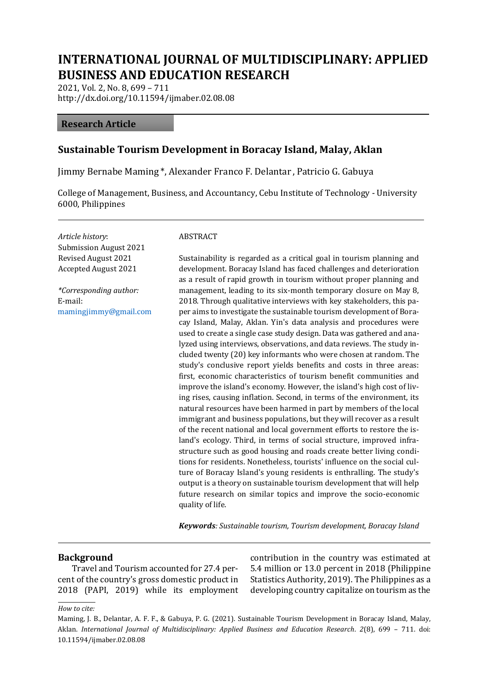# **INTERNATIONAL JOURNAL OF MULTIDISCIPLINARY: APPLIED BUSINESS AND EDUCATION RESEARCH**

2021, Vol. 2, No. 8, 699 – 711 http://dx.doi.org/10.11594/ijmaber.02.08.08

#### **Research Article**

# **Sustainable Tourism Development in Boracay Island, Malay, Aklan**

Jimmy Bernabe Maming \*, Alexander Franco F. Delantar , Patricio G. Gabuya

College of Management, Business, and Accountancy, Cebu Institute of Technology - University 6000, Philippines

*Article history*: Submission August 2021 Revised August 2021 Accepted August 2021

*\*Corresponding author:* E-mail: [mamingjimmy@gmail.com](mailto:mamingjimmy@gmail.com)

#### ABSTRACT

Sustainability is regarded as a critical goal in tourism planning and development. Boracay Island has faced challenges and deterioration as a result of rapid growth in tourism without proper planning and management, leading to its six-month temporary closure on May 8, 2018. Through qualitative interviews with key stakeholders, this paper aims to investigate the sustainable tourism development of Boracay Island, Malay, Aklan. Yin's data analysis and procedures were used to create a single case study design. Data was gathered and analyzed using interviews, observations, and data reviews. The study included twenty (20) key informants who were chosen at random. The study's conclusive report yields benefits and costs in three areas: first, economic characteristics of tourism benefit communities and improve the island's economy. However, the island's high cost of living rises, causing inflation. Second, in terms of the environment, its natural resources have been harmed in part by members of the local immigrant and business populations, but they will recover as a result of the recent national and local government efforts to restore the island's ecology. Third, in terms of social structure, improved infrastructure such as good housing and roads create better living conditions for residents. Nonetheless, tourists' influence on the social culture of Boracay Island's young residents is enthralling. The study's output is a theory on sustainable tourism development that will help future research on similar topics and improve the socio-economic quality of life.

*Keywords: Sustainable tourism, Tourism development, Boracay Island*

#### **Background**

Travel and Tourism accounted for 27.4 percent of the country's gross domestic product in 2018 (PAPI, 2019) while its employment contribution in the country was estimated at 5.4 million or 13.0 percent in 2018 (Philippine Statistics Authority, 2019). The Philippines as a developing country capitalize on tourism as the

#### *How to cite:*

Maming, J. B., Delantar, A. F. F., & Gabuya, P. G. (2021). Sustainable Tourism Development in Boracay Island, Malay, Aklan. *International Journal of Multidisciplinary: Applied Business and Education Research*. *2*(8), 699 – 711. doi: 10.11594/ijmaber.02.08.08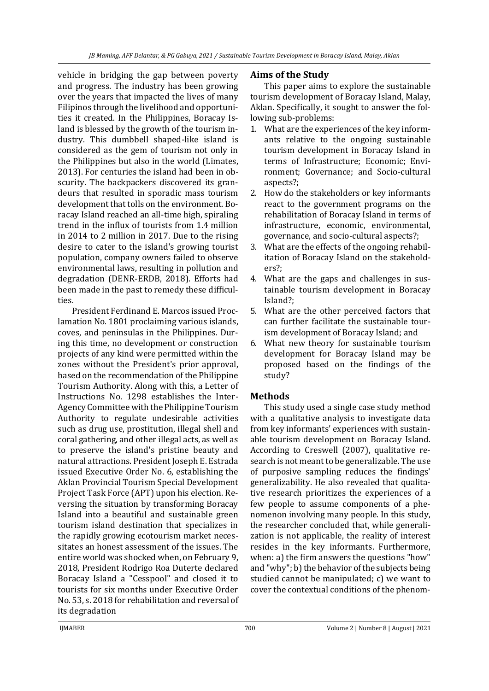vehicle in bridging the gap between poverty and progress. The industry has been growing over the years that impacted the lives of many Filipinos through the livelihood and opportunities it created. In the Philippines, Boracay Island is blessed by the growth of the tourism industry. This dumbbell shaped-like island is considered as the gem of tourism not only in the Philippines but also in the world (Limates, 2013). For centuries the island had been in obscurity. The backpackers discovered its grandeurs that resulted in sporadic mass tourism development that tolls on the environment. Boracay Island reached an all-time high, spiraling trend in the influx of tourists from 1.4 million in 2014 to 2 million in 2017. Due to the rising desire to cater to the island's growing tourist population, company owners failed to observe environmental laws, resulting in pollution and degradation (DENR-ERDB, 2018). Efforts had been made in the past to remedy these difficulties.

President Ferdinand E. Marcos issued Proclamation No. 1801 proclaiming various islands, coves, and peninsulas in the Philippines. During this time, no development or construction projects of any kind were permitted within the zones without the President's prior approval, based on the recommendation of the Philippine Tourism Authority. Along with this, a Letter of Instructions No. 1298 establishes the Inter-Agency Committee with the Philippine Tourism Authority to regulate undesirable activities such as drug use, prostitution, illegal shell and coral gathering, and other illegal acts, as well as to preserve the island's pristine beauty and natural attractions. President Joseph E. Estrada issued Executive Order No. 6, establishing the Aklan Provincial Tourism Special Development Project Task Force (APT) upon his election. Reversing the situation by transforming Boracay Island into a beautiful and sustainable green tourism island destination that specializes in the rapidly growing ecotourism market necessitates an honest assessment of the issues. The entire world was shocked when, on February 9, 2018, President Rodrigo Roa Duterte declared Boracay Island a "Cesspool" and closed it to tourists for six months under Executive Order No. 53, s. 2018 for rehabilitation and reversal of its degradation

# **Aims of the Study**

This paper aims to explore the sustainable tourism development of Boracay Island, Malay, Aklan. Specifically, it sought to answer the following sub-problems:

- 1. What are the experiences of the key informants relative to the ongoing sustainable tourism development in Boracay Island in terms of Infrastructure; Economic; Environment; Governance; and Socio-cultural aspects?;
- 2. How do the stakeholders or key informants react to the government programs on the rehabilitation of Boracay Island in terms of infrastructure, economic, environmental, governance, and socio-cultural aspects?;
- 3. What are the effects of the ongoing rehabilitation of Boracay Island on the stakeholders?;
- 4. What are the gaps and challenges in sustainable tourism development in Boracay Island?;
- 5. What are the other perceived factors that can further facilitate the sustainable tourism development of Boracay Island; and
- 6. What new theory for sustainable tourism development for Boracay Island may be proposed based on the findings of the study?

# **Methods**

This study used a single case study method with a qualitative analysis to investigate data from key informants' experiences with sustainable tourism development on Boracay Island. According to Creswell (2007), qualitative research is not meant to be generalizable. The use of purposive sampling reduces the findings' generalizability. He also revealed that qualitative research prioritizes the experiences of a few people to assume components of a phenomenon involving many people. In this study, the researcher concluded that, while generalization is not applicable, the reality of interest resides in the key informants. Furthermore, when: a) the firm answers the questions "how" and "why"; b) the behavior of the subjects being studied cannot be manipulated; c) we want to cover the contextual conditions of the phenom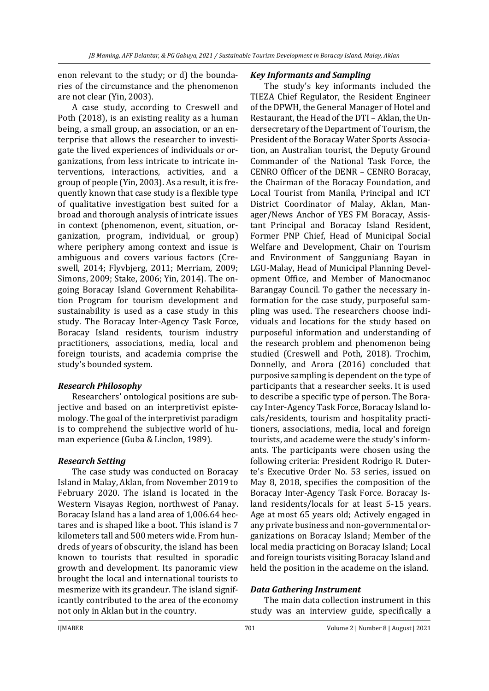enon relevant to the study; or d) the boundaries of the circumstance and the phenomenon are not clear (Yin, 2003).

A case study, according to Creswell and Poth (2018), is an existing reality as a human being, a small group, an association, or an enterprise that allows the researcher to investigate the lived experiences of individuals or organizations, from less intricate to intricate interventions, interactions, activities, and a group of people (Yin, 2003). As a result, it is frequently known that case study is a flexible type of qualitative investigation best suited for a broad and thorough analysis of intricate issues in context (phenomenon, event, situation, organization, program, individual, or group) where periphery among context and issue is ambiguous and covers various factors (Creswell, 2014; Flyvbjerg, 2011; Merriam, 2009; Simons, 2009; Stake, 2006; Yin, 2014). The ongoing Boracay Island Government Rehabilitation Program for tourism development and sustainability is used as a case study in this study. The Boracay Inter-Agency Task Force, Boracay Island residents, tourism industry practitioners, associations, media, local and foreign tourists, and academia comprise the study's bounded system.

# *Research Philosophy*

Researchers' ontological positions are subjective and based on an interpretivist epistemology. The goal of the interpretivist paradigm is to comprehend the subjective world of human experience (Guba & Linclon, 1989).

#### *Research Setting*

The case study was conducted on Boracay Island in Malay, Aklan, from November 2019 to February 2020. The island is located in the Western Visayas Region, northwest of Panay. Boracay Island has a land area of 1,006.64 hectares and is shaped like a boot. This island is 7 kilometers tall and 500 meters wide. From hundreds of years of obscurity, the island has been known to tourists that resulted in sporadic growth and development. Its panoramic view brought the local and international tourists to mesmerize with its grandeur. The island significantly contributed to the area of the economy not only in Aklan but in the country.

### *Key Informants and Sampling*

The study's key informants included the TIEZA Chief Regulator, the Resident Engineer of the DPWH, the General Manager of Hotel and Restaurant, the Head of the DTI – Aklan, the Undersecretary of the Department of Tourism, the President of the Boracay Water Sports Association, an Australian tourist, the Deputy Ground Commander of the National Task Force, the CENRO Officer of the DENR – CENRO Boracay, the Chairman of the Boracay Foundation, and Local Tourist from Manila, Principal and ICT District Coordinator of Malay, Aklan, Manager/News Anchor of YES FM Boracay, Assistant Principal and Boracay Island Resident, Former PNP Chief, Head of Municipal Social Welfare and Development, Chair on Tourism and Environment of Sangguniang Bayan in LGU-Malay, Head of Municipal Planning Development Office, and Member of Manocmanoc Barangay Council. To gather the necessary information for the case study, purposeful sampling was used. The researchers choose individuals and locations for the study based on purposeful information and understanding of the research problem and phenomenon being studied (Creswell and Poth, 2018). Trochim, Donnelly, and Arora (2016) concluded that purposive sampling is dependent on the type of participants that a researcher seeks. It is used to describe a specific type of person. The Boracay Inter-Agency Task Force, Boracay Island locals/residents, tourism and hospitality practitioners, associations, media, local and foreign tourists, and academe were the study's informants. The participants were chosen using the following criteria: President Rodrigo R. Duterte's Executive Order No. 53 series, issued on May 8, 2018, specifies the composition of the Boracay Inter-Agency Task Force. Boracay Island residents/locals for at least 5-15 years. Age at most 65 years old; Actively engaged in any private business and non-governmental organizations on Boracay Island; Member of the local media practicing on Boracay Island; Local and foreign tourists visiting Boracay Island and held the position in the academe on the island.

#### *Data Gathering Instrument*

The main data collection instrument in this study was an interview guide, specifically a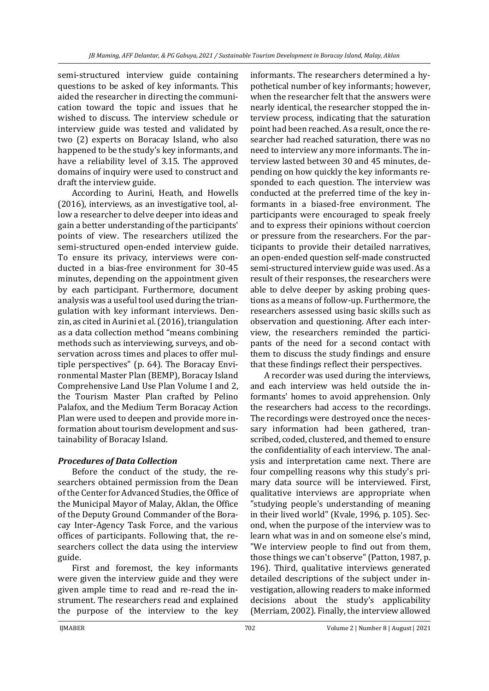semi-structured interview guide containing questions to be asked of key informants. This aided the researcher in directing the communication toward the topic and issues that he wished to discuss. The interview schedule or interview guide was tested and validated by two (2) experts on Boracay Island, who also happened to be the study's key informants, and have a reliability level of 3.15. The approved domains of inquiry were used to construct and draft the interview guide.

According to Aurini, Heath, and Howells (2016), interviews, as an investigative tool, allow a researcher to delve deeper into ideas and gain a better understanding of the participants' points of view. The researchers utilized the semi-structured open-ended interview guide. To ensure its privacy, interviews were conducted in a bias-free environment for 30-45 minutes, depending on the appointment given by each participant. Furthermore, document analysis was a useful tool used during the triangulation with key informant interviews. Denzin, as cited in Aurini et al. (2016), triangulation as a data collection method "means combining methods such as interviewing, surveys, and observation across times and places to offer multiple perspectives" (p. 64). The Boracay Environmental Master Plan (BEMP), Boracay Island Comprehensive Land Use Plan Volume I and 2, the Tourism Master Plan crafted by Pelino Palafox, and the Medium Term Boracay Action Plan were used to deepen and provide more information about tourism development and sustainability of Boracay Island.

# *Procedures of Data Collection*

Before the conduct of the study, the researchers obtained permission from the Dean of the Center for Advanced Studies, the Office of the Municipal Mayor of Malay, Aklan, the Office of the Deputy Ground Commander of the Boracay Inter-Agency Task Force, and the various offices of participants. Following that, the researchers collect the data using the interview guide.

First and foremost, the key informants were given the interview guide and they were given ample time to read and re-read the instrument. The researchers read and explained the purpose of the interview to the key

informants. The researchers determined a hypothetical number of key informants; however, when the researcher felt that the answers were nearly identical, the researcher stopped the interview process, indicating that the saturation point had been reached. As a result, once the researcher had reached saturation, there was no need to interview any more informants. The interview lasted between 30 and 45 minutes, depending on how quickly the key informants responded to each question. The interview was conducted at the preferred time of the key informants in a biased-free environment. The participants were encouraged to speak freely and to express their opinions without coercion or pressure from the researchers. For the participants to provide their detailed narratives, an open-ended question self-made constructed semi-structured interview guide was used. As a result of their responses, the researchers were able to delve deeper by asking probing questions as a means of follow-up. Furthermore, the researchers assessed using basic skills such as observation and questioning. After each interview, the researchers reminded the participants of the need for a second contact with them to discuss the study findings and ensure that these findings reflect their perspectives.

A recorder was used during the interviews, and each interview was held outside the informants' homes to avoid apprehension. Only the researchers had access to the recordings. The recordings were destroyed once the necessary information had been gathered, transcribed, coded, clustered, and themed to ensure the confidentiality of each interview. The analysis and interpretation came next. There are four compelling reasons why this study's primary data source will be interviewed. First, qualitative interviews are appropriate when "studying people's understanding of meaning in their lived world" (Kvale, 1996, p. 105). Second, when the purpose of the interview was to learn what was in and on someone else's mind, "We interview people to find out from them, those things we can't observe" (Patton, 1987, p. 196). Third, qualitative interviews generated detailed descriptions of the subject under investigation, allowing readers to make informed decisions about the study's applicability (Merriam, 2002). Finally, the interview allowed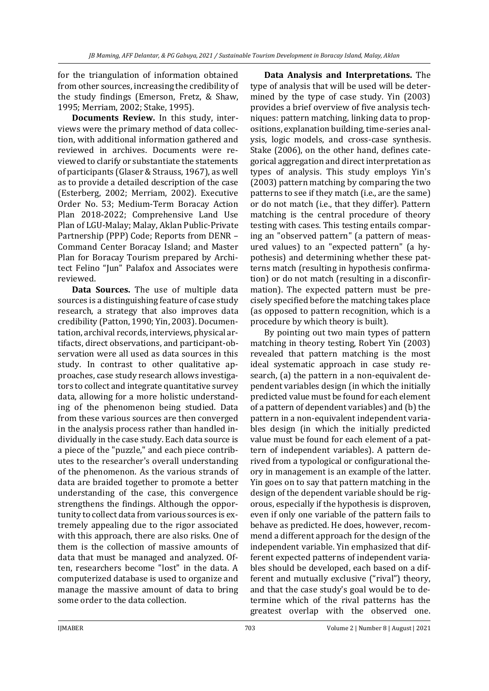for the triangulation of information obtained from other sources, increasing the credibility of the study findings (Emerson, Fretz, & Shaw, 1995; Merriam, 2002; Stake, 1995).

**Documents Review.** In this study, interviews were the primary method of data collection, with additional information gathered and reviewed in archives. Documents were reviewed to clarify or substantiate the statements of participants (Glaser & Strauss, 1967), as well as to provide a detailed description of the case (Esterberg, 2002; Merriam, 2002). Executive Order No. 53; Medium-Term Boracay Action Plan 2018-2022; Comprehensive Land Use Plan of LGU-Malay; Malay, Aklan Public-Private Partnership (PPP) Code; Reports from DENR – Command Center Boracay Island; and Master Plan for Boracay Tourism prepared by Architect Felino "Jun" Palafox and Associates were reviewed.

**Data Sources.** The use of multiple data sources is a distinguishing feature of case study research, a strategy that also improves data credibility (Patton, 1990; Yin, 2003). Documentation, archival records, interviews, physical artifacts, direct observations, and participant-observation were all used as data sources in this study. In contrast to other qualitative approaches, case study research allows investigators to collect and integrate quantitative survey data, allowing for a more holistic understanding of the phenomenon being studied. Data from these various sources are then converged in the analysis process rather than handled individually in the case study. Each data source is a piece of the "puzzle," and each piece contributes to the researcher's overall understanding of the phenomenon. As the various strands of data are braided together to promote a better understanding of the case, this convergence strengthens the findings. Although the opportunity to collect data from various sources is extremely appealing due to the rigor associated with this approach, there are also risks. One of them is the collection of massive amounts of data that must be managed and analyzed. Often, researchers become "lost" in the data. A computerized database is used to organize and manage the massive amount of data to bring some order to the data collection.

**Data Analysis and Interpretations.** The type of analysis that will be used will be determined by the type of case study. Yin (2003) provides a brief overview of five analysis techniques: pattern matching, linking data to propositions, explanation building, time-series analysis, logic models, and cross-case synthesis. Stake (2006), on the other hand, defines categorical aggregation and direct interpretation as types of analysis. This study employs Yin's (2003) pattern matching by comparing the two patterns to see if they match (i.e., are the same) or do not match (i.e., that they differ). Pattern matching is the central procedure of theory testing with cases. This testing entails comparing an "observed pattern" (a pattern of measured values) to an "expected pattern" (a hypothesis) and determining whether these patterns match (resulting in hypothesis confirmation) or do not match (resulting in a disconfirmation). The expected pattern must be precisely specified before the matching takes place (as opposed to pattern recognition, which is a procedure by which theory is built).

By pointing out two main types of pattern matching in theory testing, Robert Yin (2003) revealed that pattern matching is the most ideal systematic approach in case study research, (a) the pattern in a non-equivalent dependent variables design (in which the initially predicted value must be found for each element of a pattern of dependent variables) and (b) the pattern in a non-equivalent independent variables design (in which the initially predicted value must be found for each element of a pattern of independent variables). A pattern derived from a typological or configurational theory in management is an example of the latter. Yin goes on to say that pattern matching in the design of the dependent variable should be rigorous, especially if the hypothesis is disproven, even if only one variable of the pattern fails to behave as predicted. He does, however, recommend a different approach for the design of the independent variable. Yin emphasized that different expected patterns of independent variables should be developed, each based on a different and mutually exclusive ("rival") theory, and that the case study's goal would be to determine which of the rival patterns has the greatest overlap with the observed one.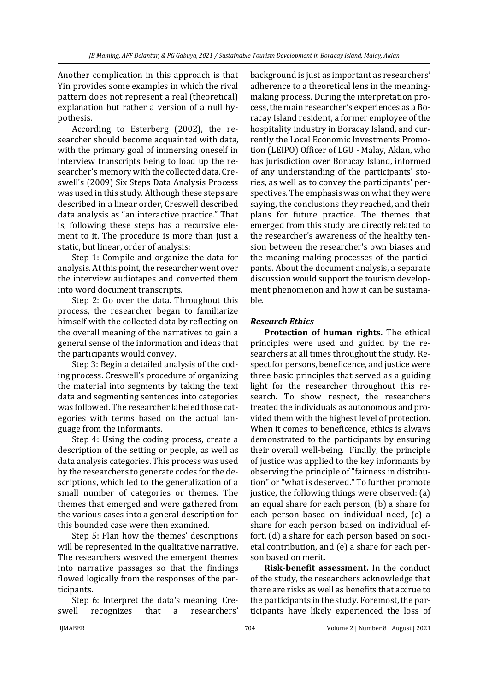Another complication in this approach is that Yin provides some examples in which the rival pattern does not represent a real (theoretical) explanation but rather a version of a null hypothesis.

According to Esterberg (2002), the researcher should become acquainted with data, with the primary goal of immersing oneself in interview transcripts being to load up the researcher's memory with the collected data. Creswell's (2009) Six Steps Data Analysis Process was used in this study. Although these steps are described in a linear order, Creswell described data analysis as "an interactive practice." That is, following these steps has a recursive element to it. The procedure is more than just a static, but linear, order of analysis:

Step 1: Compile and organize the data for analysis. At this point, the researcher went over the interview audiotapes and converted them into word document transcripts.

Step 2: Go over the data. Throughout this process, the researcher began to familiarize himself with the collected data by reflecting on the overall meaning of the narratives to gain a general sense of the information and ideas that the participants would convey.

Step 3: Begin a detailed analysis of the coding process. Creswell's procedure of organizing the material into segments by taking the text data and segmenting sentences into categories was followed. The researcher labeled those categories with terms based on the actual language from the informants.

Step 4: Using the coding process, create a description of the setting or people, as well as data analysis categories. This process was used by the researchers to generate codes for the descriptions, which led to the generalization of a small number of categories or themes. The themes that emerged and were gathered from the various cases into a general description for this bounded case were then examined.

Step 5: Plan how the themes' descriptions will be represented in the qualitative narrative. The researchers weaved the emergent themes into narrative passages so that the findings flowed logically from the responses of the participants.

Step 6: Interpret the data's meaning. Creswell recognizes that a researchers'

background is just as important as researchers' adherence to a theoretical lens in the meaningmaking process. During the interpretation process, the main researcher's experiences as a Boracay Island resident, a former employee of the hospitality industry in Boracay Island, and currently the Local Economic Investments Promotion (LEIPO) Officer of LGU - Malay, Aklan, who has jurisdiction over Boracay Island, informed of any understanding of the participants' stories, as well as to convey the participants' perspectives. The emphasis was on what they were saying, the conclusions they reached, and their plans for future practice. The themes that emerged from this study are directly related to the researcher's awareness of the healthy tension between the researcher's own biases and the meaning-making processes of the participants. About the document analysis, a separate discussion would support the tourism development phenomenon and how it can be sustainable.

# *Research Ethics*

**Protection of human rights.** The ethical principles were used and guided by the researchers at all times throughout the study. Respect for persons, beneficence, and justice were three basic principles that served as a guiding light for the researcher throughout this research. To show respect, the researchers treated the individuals as autonomous and provided them with the highest level of protection. When it comes to beneficence, ethics is always demonstrated to the participants by ensuring their overall well-being. Finally, the principle of justice was applied to the key informants by observing the principle of "fairness in distribution" or "what is deserved." To further promote justice, the following things were observed: (a) an equal share for each person, (b) a share for each person based on individual need, (c) a share for each person based on individual effort, (d) a share for each person based on societal contribution, and (e) a share for each person based on merit.

**Risk-benefit assessment.** In the conduct of the study, the researchers acknowledge that there are risks as well as benefits that accrue to the participants in the study. Foremost, the participants have likely experienced the loss of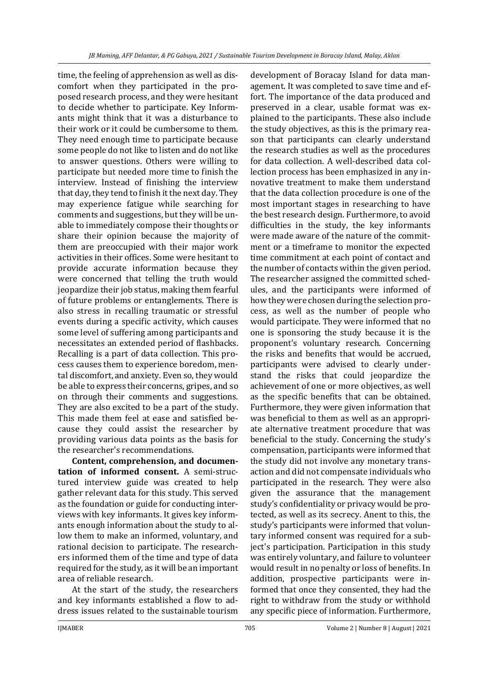time, the feeling of apprehension as well as discomfort when they participated in the proposed research process, and they were hesitant to decide whether to participate. Key Informants might think that it was a disturbance to their work or it could be cumbersome to them. They need enough time to participate because some people do not like to listen and do not like to answer questions. Others were willing to participate but needed more time to finish the interview. Instead of finishing the interview that day, they tend to finish it the next day. They may experience fatigue while searching for comments and suggestions, but they will be unable to immediately compose their thoughts or share their opinion because the majority of them are preoccupied with their major work activities in their offices. Some were hesitant to provide accurate information because they were concerned that telling the truth would jeopardize their job status, making them fearful of future problems or entanglements. There is also stress in recalling traumatic or stressful events during a specific activity, which causes some level of suffering among participants and necessitates an extended period of flashbacks. Recalling is a part of data collection. This process causes them to experience boredom, mental discomfort, and anxiety. Even so, they would be able to express their concerns, gripes, and so on through their comments and suggestions. They are also excited to be a part of the study. This made them feel at ease and satisfied because they could assist the researcher by providing various data points as the basis for the researcher's recommendations.

**Content, comprehension, and documentation of informed consent.** A semi-structured interview guide was created to help gather relevant data for this study. This served as the foundation or guide for conducting interviews with key informants. It gives key informants enough information about the study to allow them to make an informed, voluntary, and rational decision to participate. The researchers informed them of the time and type of data required for the study, as it will be an important area of reliable research.

At the start of the study, the researchers and key informants established a flow to address issues related to the sustainable tourism

development of Boracay Island for data management. It was completed to save time and effort. The importance of the data produced and preserved in a clear, usable format was explained to the participants. These also include the study objectives, as this is the primary reason that participants can clearly understand the research studies as well as the procedures for data collection. A well-described data collection process has been emphasized in any innovative treatment to make them understand that the data collection procedure is one of the most important stages in researching to have the best research design. Furthermore, to avoid difficulties in the study, the key informants were made aware of the nature of the commitment or a timeframe to monitor the expected time commitment at each point of contact and the number of contacts within the given period. The researcher assigned the committed schedules, and the participants were informed of how they were chosen during the selection process, as well as the number of people who would participate. They were informed that no one is sponsoring the study because it is the proponent's voluntary research. Concerning the risks and benefits that would be accrued, participants were advised to clearly understand the risks that could jeopardize the achievement of one or more objectives, as well as the specific benefits that can be obtained. Furthermore, they were given information that was beneficial to them as well as an appropriate alternative treatment procedure that was beneficial to the study. Concerning the study's compensation, participants were informed that the study did not involve any monetary transaction and did not compensate individuals who participated in the research. They were also given the assurance that the management study's confidentiality or privacy would be protected, as well as its secrecy. Anent to this, the study's participants were informed that voluntary informed consent was required for a subject's participation. Participation in this study was entirely voluntary, and failure to volunteer would result in no penalty or loss of benefits. In addition, prospective participants were informed that once they consented, they had the right to withdraw from the study or withhold any specific piece of information. Furthermore,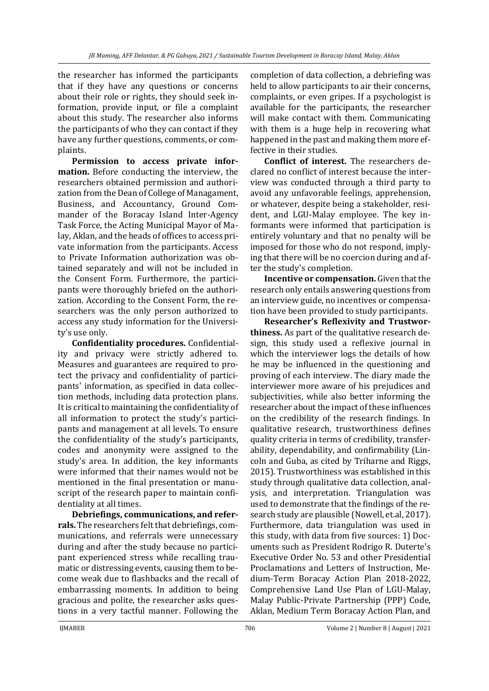the researcher has informed the participants that if they have any questions or concerns about their role or rights, they should seek information, provide input, or file a complaint about this study. The researcher also informs the participants of who they can contact if they have any further questions, comments, or complaints.

**Permission to access private information.** Before conducting the interview, the researchers obtained permission and authorization from the Dean of College of Managament, Business, and Accountancy, Ground Commander of the Boracay Island Inter-Agency Task Force, the Acting Municipal Mayor of Malay, Aklan, and the heads of offices to access private information from the participants. Access to Private Information authorization was obtained separately and will not be included in the Consent Form. Furthermore, the participants were thoroughly briefed on the authorization. According to the Consent Form, the researchers was the only person authorized to access any study information for the University's use only.

**Confidentiality procedures.** Confidentiality and privacy were strictly adhered to. Measures and guarantees are required to protect the privacy and confidentiality of participants' information, as specified in data collection methods, including data protection plans. It is critical to maintaining the confidentiality of all information to protect the study's participants and management at all levels. To ensure the confidentiality of the study's participants, codes and anonymity were assigned to the study's area. In addition, the key informants were informed that their names would not be mentioned in the final presentation or manuscript of the research paper to maintain confidentiality at all times.

**Debriefings, communications, and referrals.** The researchers felt that debriefings, communications, and referrals were unnecessary during and after the study because no participant experienced stress while recalling traumatic or distressing events, causing them to become weak due to flashbacks and the recall of embarrassing moments. In addition to being gracious and polite, the researcher asks questions in a very tactful manner. Following the

completion of data collection, a debriefing was held to allow participants to air their concerns, complaints, or even gripes. If a psychologist is available for the participants, the researcher will make contact with them. Communicating with them is a huge help in recovering what happened in the past and making them more effective in their studies.

**Conflict of interest.** The researchers declared no conflict of interest because the interview was conducted through a third party to avoid any unfavorable feelings, apprehension, or whatever, despite being a stakeholder, resident, and LGU-Malay employee. The key informants were informed that participation is entirely voluntary and that no penalty will be imposed for those who do not respond, implying that there will be no coercion during and after the study's completion.

**Incentive or compensation.** Given that the research only entails answering questions from an interview guide, no incentives or compensation have been provided to study participants.

**Researcher's Reflexivity and Trustworthiness.** As part of the qualitative research design, this study used a reflexive journal in which the interviewer logs the details of how he may be influenced in the questioning and proving of each interview. The diary made the interviewer more aware of his prejudices and subjectivities, while also better informing the researcher about the impact of these influences on the credibility of the research findings. In qualitative research, trustworthiness defines quality criteria in terms of credibility, transferability, dependability, and confirmability (Lincoln and Guba, as cited by Triharne and Riggs, 2015). Trustworthiness was established in this study through qualitative data collection, analysis, and interpretation. Triangulation was used to demonstrate that the findings of the research study are plausible (Nowell, et.al, 2017). Furthermore, data triangulation was used in this study, with data from five sources: 1) Documents such as President Rodrigo R. Duterte's Executive Order No. 53 and other Presidential Proclamations and Letters of Instruction, Medium-Term Boracay Action Plan 2018-2022, Comprehensive Land Use Plan of LGU-Malay, Malay Public-Private Partnership (PPP) Code, Aklan, Medium Term Boracay Action Plan, and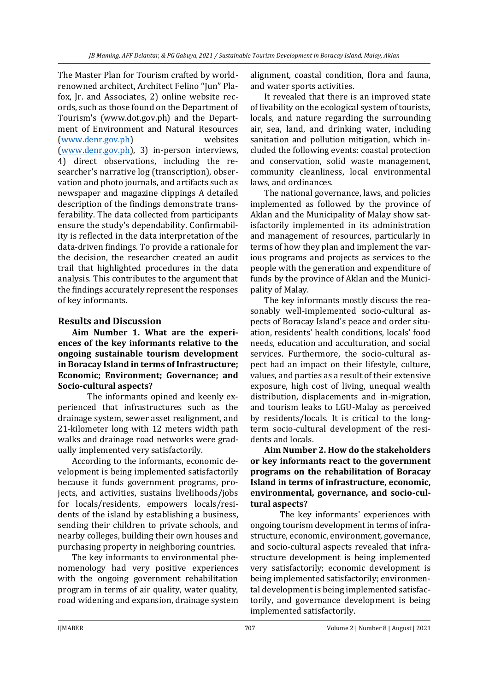The Master Plan for Tourism crafted by worldrenowned architect, Architect Felino "Jun" Plafox, Jr. and Associates, 2) online website records, such as those found on the Department of Tourism's (www.dot.gov.ph) and the Department of Environment and Natural Resources [\(www.denr.gov.ph\)](http://www.denr.gov.ph/) websites [\(www.denr.gov.ph\)](http://www.denr.gov.ph/), 3) in-person interviews, 4) direct observations, including the researcher's narrative log (transcription), observation and photo journals, and artifacts such as newspaper and magazine clippings A detailed description of the findings demonstrate transferability. The data collected from participants ensure the study's dependability. Confirmability is reflected in the data interpretation of the data-driven findings. To provide a rationale for the decision, the researcher created an audit trail that highlighted procedures in the data analysis. This contributes to the argument that the findings accurately represent the responses of key informants.

# **Results and Discussion**

**Aim Number 1. What are the experiences of the key informants relative to the ongoing sustainable tourism development in Boracay Island in terms of Infrastructure; Economic; Environment; Governance; and Socio-cultural aspects?**

The informants opined and keenly experienced that infrastructures such as the drainage system, sewer asset realignment, and 21-kilometer long with 12 meters width path walks and drainage road networks were gradually implemented very satisfactorily.

According to the informants, economic development is being implemented satisfactorily because it funds government programs, projects, and activities, sustains livelihoods/jobs for locals/residents, empowers locals/residents of the island by establishing a business, sending their children to private schools, and nearby colleges, building their own houses and purchasing property in neighboring countries.

The key informants to environmental phenomenology had very positive experiences with the ongoing government rehabilitation program in terms of air quality, water quality, road widening and expansion, drainage system

alignment, coastal condition, flora and fauna, and water sports activities.

It revealed that there is an improved state of livability on the ecological system of tourists, locals, and nature regarding the surrounding air, sea, land, and drinking water, including sanitation and pollution mitigation, which included the following events: coastal protection and conservation, solid waste management, community cleanliness, local environmental laws, and ordinances.

The national governance, laws, and policies implemented as followed by the province of Aklan and the Municipality of Malay show satisfactorily implemented in its administration and management of resources, particularly in terms of how they plan and implement the various programs and projects as services to the people with the generation and expenditure of funds by the province of Aklan and the Municipality of Malay.

The key informants mostly discuss the reasonably well-implemented socio-cultural aspects of Boracay Island's peace and order situation, residents' health conditions, locals' food needs, education and acculturation, and social services. Furthermore, the socio-cultural aspect had an impact on their lifestyle, culture, values, and parties as a result of their extensive exposure, high cost of living, unequal wealth distribution, displacements and in-migration, and tourism leaks to LGU-Malay as perceived by residents/locals. It is critical to the longterm socio-cultural development of the residents and locals.

**Aim Number 2. How do the stakeholders or key informants react to the government programs on the rehabilitation of Boracay Island in terms of infrastructure, economic, environmental, governance, and socio-cultural aspects?**

The key informants' experiences with ongoing tourism development in terms of infrastructure, economic, environment, governance, and socio-cultural aspects revealed that infrastructure development is being implemented very satisfactorily; economic development is being implemented satisfactorily; environmental development is being implemented satisfactorily, and governance development is being implemented satisfactorily.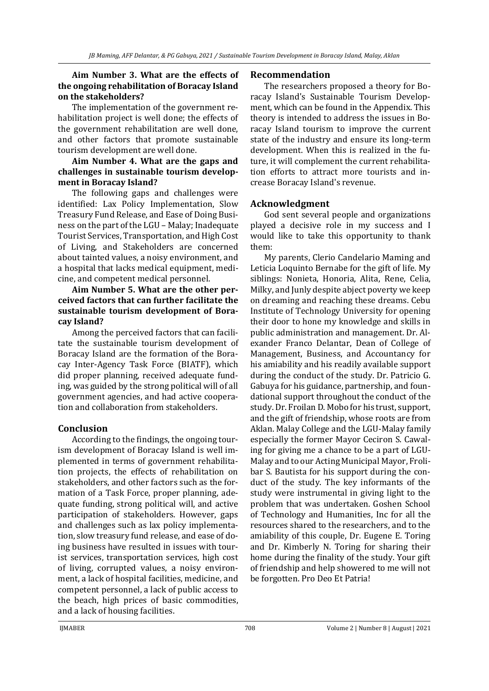### **Aim Number 3. What are the effects of the ongoing rehabilitation of Boracay Island on the stakeholders?**

The implementation of the government rehabilitation project is well done; the effects of the government rehabilitation are well done, and other factors that promote sustainable tourism development are well done.

#### **Aim Number 4. What are the gaps and challenges in sustainable tourism development in Boracay Island?**

The following gaps and challenges were identified: Lax Policy Implementation, Slow Treasury Fund Release, and Ease of Doing Business on the part of the LGU – Malay; Inadequate Tourist Services, Transportation, and High Cost of Living, and Stakeholders are concerned about tainted values, a noisy environment, and a hospital that lacks medical equipment, medicine, and competent medical personnel.

### **Aim Number 5. What are the other perceived factors that can further facilitate the sustainable tourism development of Boracay Island?**

Among the perceived factors that can facilitate the sustainable tourism development of Boracay Island are the formation of the Boracay Inter-Agency Task Force (BIATF), which did proper planning, received adequate funding, was guided by the strong political will of all government agencies, and had active cooperation and collaboration from stakeholders.

# **Conclusion**

According to the findings, the ongoing tourism development of Boracay Island is well implemented in terms of government rehabilitation projects, the effects of rehabilitation on stakeholders, and other factors such as the formation of a Task Force, proper planning, adequate funding, strong political will, and active participation of stakeholders. However, gaps and challenges such as lax policy implementation, slow treasury fund release, and ease of doing business have resulted in issues with tourist services, transportation services, high cost of living, corrupted values, a noisy environment, a lack of hospital facilities, medicine, and competent personnel, a lack of public access to the beach, high prices of basic commodities, and a lack of housing facilities.

### **Recommendation**

The researchers proposed a theory for Boracay Island's Sustainable Tourism Development, which can be found in the Appendix. This theory is intended to address the issues in Boracay Island tourism to improve the current state of the industry and ensure its long-term development. When this is realized in the future, it will complement the current rehabilitation efforts to attract more tourists and increase Boracay Island's revenue.

# **Acknowledgment**

God sent several people and organizations played a decisive role in my success and I would like to take this opportunity to thank them:

My parents, Clerio Candelario Maming and Leticia Loquinto Bernabe for the gift of life. My siblings: Nonieta, Honoria, Alita, Rene, Celia, Milky, and Junly despite abject poverty we keep on dreaming and reaching these dreams. Cebu Institute of Technology University for opening their door to hone my knowledge and skills in public administration and management. Dr. Alexander Franco Delantar, Dean of College of Management, Business, and Accountancy for his amiability and his readily available support during the conduct of the study. Dr. Patricio G. Gabuya for his guidance, partnership, and foundational support throughout the conduct of the study. Dr. Froilan D. Mobo for his trust, support, and the gift of friendship, whose roots are from Aklan. Malay College and the LGU-Malay family especially the former Mayor Ceciron S. Cawaling for giving me a chance to be a part of LGU-Malay and to our Acting Municipal Mayor, Frolibar S. Bautista for his support during the conduct of the study. The key informants of the study were instrumental in giving light to the problem that was undertaken. Goshen School of Technology and Humanities, Inc for all the resources shared to the researchers, and to the amiability of this couple, Dr. Eugene E. Toring and Dr. Kimberly N. Toring for sharing their home during the finality of the study. Your gift of friendship and help showered to me will not be forgotten. Pro Deo Et Patria!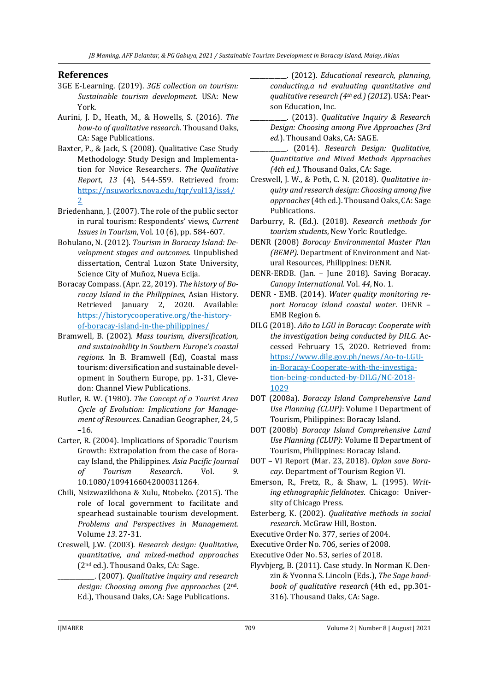### **References**

- 3GE E-Learning. (2019). *3GE collection on tourism: Sustainable tourism development*. USA: New York.
- Aurini, J. D., Heath, M., & Howells, S. (2016). *The how-to of qualitative research*. Thousand Oaks, CA: Sage Publications.
- Baxter, P., & Jack, S. (2008). Qualitative Case Study Methodology: Study Design and Implementation for Novice Researchers. *The Qualitative Report*, *13* (4), 544-559. Retrieved from: [https://nsuworks.nova.edu/tqr/vol13/iss4/](https://nsuworks.nova.edu/tqr/vol13/iss4/2) [2](https://nsuworks.nova.edu/tqr/vol13/iss4/2)
- Briedenhann, J. (2007). The role of the public sector in rural tourism: Respondents' views, *Current Issues in Tourism*, Vol. 10 (6), pp. 584-607.
- Bohulano, N. (2012). *Tourism in Boracay Island: Development stages and outcomes.* Unpublished dissertation, Central Luzon State University, Science City of Muñoz, Nueva Ecija.
- Boracay Compass. (Apr. 22, 2019). *The history of Boracay Island in the Philippines*, Asian History. Retrieved January 2, 2020. Available: [https://historycooperative.org/the-history](https://historycooperative.org/the-history-of-boracay-island-in-the-philippines/)[of-boracay-island-in-the-philippines/](https://historycooperative.org/the-history-of-boracay-island-in-the-philippines/)
- Bramwell, B. (2002). *Mass tourism, diversification, and sustainability in Southern Europe's coastal regions*. In B. Bramwell (Ed), Coastal mass tourism: diversification and sustainable development in Southern Europe, pp. 1-31, Clevedon: Channel View Publications.
- Butler, R. W. (1980). *The Concept of a Tourist Area Cycle of Evolution: Implications for Management of Resources*. Canadian Geographer, 24, 5 –16.
- Carter, R. (2004). Implications of Sporadic Tourism Growth: Extrapolation from the case of Boracay Island, the Philippines. *Asia Pacific Journal of Tourism Research*. Vol. *9*. 10.1080/1094166042000311264.
- Chili, Nsizwazikhona & Xulu, Ntobeko. (2015). The role of local government to facilitate and spearhead sustainable tourism development. *Problems and Perspectives in Management.* Volume *13*. 27-31.
- Creswell, J.W. (2003). *Research design: Qualitative, quantitative, and mixed-method approaches* (2nd ed.). Thousand Oaks, CA: Sage.
	- \_\_\_\_\_\_\_\_\_\_\_\_. (2007). *Qualitative inquiry and research design: Choosing among five approaches* (2nd. Ed.), Thousand Oaks, CA: Sage Publications.
- \_\_\_\_\_\_\_\_\_\_\_\_. (2012). *Educational research, planning, conducting,a nd evaluating quantitative and qualitative research (4th ed.) (2012*). USA: Pearson Education, Inc.
- \_\_\_\_\_\_\_\_\_\_\_\_. (2013). *Qualitative Inquiry & Research Design: Choosing among Five Approaches (3rd ed.*). Thousand Oaks, CA: SAGE.
- \_\_\_\_\_\_\_\_\_\_\_\_. (2014). *Research Design: Qualitative, Quantitative and Mixed Methods Approaches (4th ed.).* Thousand Oaks, CA: Sage.
- Creswell, J. W., & Poth, C. N. (2018). *Qualitative inquiry and research design: Choosing among five approaches*(4th ed.). Thousand Oaks, CA: Sage Publications.
- Darburry, R. (Ed.). (2018). *Research methods for tourism students*, New York: Routledge.
- DENR (2008) *Borocay Environmental Master Plan (BEMP)*. Department of Environment and Natural Resources, Philippines: DENR.
- DENR-ERDB. (Jan. June 2018). Saving Boracay. *Canopy International.* Vol. *44*, No. 1.
- DENR EMB. (2014). *Water quality monitoring report Boracay island coastal water*. DENR – EMB Region 6.
- DILG (2018). *Año to LGU in Boracay: Cooperate with the investigation being conducted by DILG.* Accessed February 15, 2020. Retrieved from: [https://www.dilg.gov.ph/news/Ao-to-LGU](https://www.dilg.gov.ph/news/Ao-to-LGU-in-Boracay-Cooperate-with-the-investigation-being-conducted-by-DILG/NC-2018-1029)[in-Boracay-Cooperate-with-the-investiga](https://www.dilg.gov.ph/news/Ao-to-LGU-in-Boracay-Cooperate-with-the-investigation-being-conducted-by-DILG/NC-2018-1029)[tion-being-conducted-by-DILG/NC-2018-](https://www.dilg.gov.ph/news/Ao-to-LGU-in-Boracay-Cooperate-with-the-investigation-being-conducted-by-DILG/NC-2018-1029) [1029](https://www.dilg.gov.ph/news/Ao-to-LGU-in-Boracay-Cooperate-with-the-investigation-being-conducted-by-DILG/NC-2018-1029)
- DOT (2008a). *Boracay Island Comprehensive Land Use Planning (CLUP)*: Volume I Department of Tourism, Philippines: Boracay Island.
- DOT (2008b) *Boracay Island Comprehensive Land Use Planning (CLUP)*: Volume II Department of Tourism, Philippines: Boracay Island.
- DOT VI Report (Mar. 23, 2018). *Oplan save Boracay*. Department of Tourism Region VI.
- Emerson, R., Fretz, R., & Shaw, L. (1995). *Writing ethnographic fieldnotes*. Chicago: University of Chicago Press.
- Esterberg, K. (2002). *Qualitative methods in social research*. McGraw Hill, Boston.
- Executive Order No. 377, series of 2004.
- Executive Order No. 706, series of 2008.
- Executive Oder No. 53, series of 2018.
- Flyvbjerg, B. (2011). Case study. In Norman K. Denzin & Yvonna S. Lincoln (Eds.), *The Sage handbook of qualitative research* (4th ed., pp.301- 316). Thousand Oaks, CA: Sage.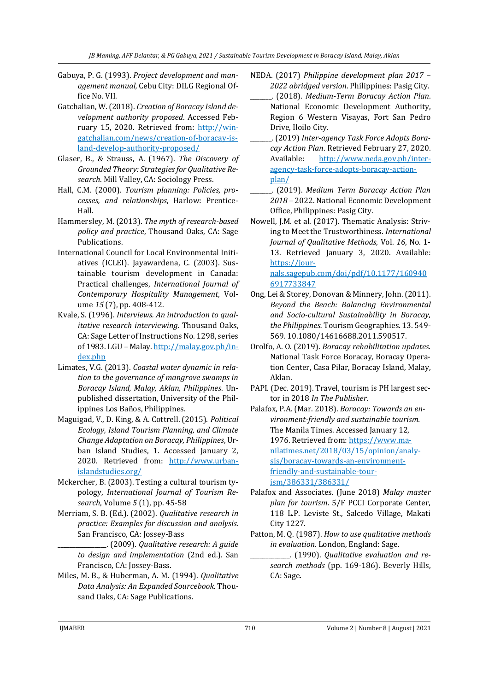- Gabuya, P. G. (1993). *Project development and management manual,* Cebu City: DILG Regional Office No. VII.
- Gatchalian, W. (2018). *Creation of Boracay Island development authority proposed*. Accessed February 15, 2020. Retrieved from: [http://win](http://wingatchalian.com/news/creation-of-boracay-island-develop-authority-proposed/)[gatchalian.com/news/creation-of-boracay-is](http://wingatchalian.com/news/creation-of-boracay-island-develop-authority-proposed/)[land-develop-authority-proposed/](http://wingatchalian.com/news/creation-of-boracay-island-develop-authority-proposed/)
- Glaser, B., & Strauss, A. (1967). *The Discovery of Grounded Theory: Strategies for Qualitative Research*. Mill Valley, CA: Sociology Press.
- Hall, C.M. (2000). *Tourism planning: Policies, processes, and relationships*, Harlow: Prentice-Hall.
- Hammersley, M. (2013). *The myth of research-based policy and practice*, Thousand Oaks, CA: Sage Publications.
- International Council for Local Environmental Initiatives (ICLEI). Jayawardena, C. (2003). Sustainable tourism development in Canada: Practical challenges, *International Journal of Contemporary Hospitality Management*, Volume *15* (7), pp. 408-412.
- Kvale, S. (1996). *Interviews. An introduction to qualitative research interviewing.* Thousand Oaks, CA: Sage Letter of Instructions No. 1298, series of 1983. LGU – Malay[. http://malay.gov.ph/in](http://malay.gov.ph/index.php)[dex.php](http://malay.gov.ph/index.php)
- Limates, V.G. (2013). *Coastal water dynamic in relation to the governance of mangrove swamps in Boracay Island, Malay, Aklan, Philippines*. Unpublished dissertation, University of the Philippines Los Baños, Philippines.
- Maguigad, V., D. King, & A. Cottrell. (2015). *Political Ecology, Island Tourism Planning, and Climate Change Adaptation on Boracay, Philippines*, Urban Island Studies, 1. Accessed January 2, 2020. Retrieved from: [http://www.urban](http://www.urbanislandstudies.org/)[islandstudies.org/](http://www.urbanislandstudies.org/)
- Mckercher, B. (2003). Testing a cultural tourism typology, *International Journal of Tourism Research*, Volume *5* (1), pp. 45-58
- Merriam, S. B. (Ed.). (2002). *Qualitative research in practice: Examples for discussion and analysis*. San Francisco, CA: Jossey-Bass
	- \_\_\_\_\_\_\_\_\_\_\_\_\_\_\_\_. (2009). *Qualitative research: A guide to design and implementation* (2nd ed.). San Francisco, CA: Jossey-Bass.
- Miles, M. B., & Huberman, A. M. (1994). *Qualitative Data Analysis: An Expanded Sourcebook.* Thousand Oaks, CA: Sage Publications.
- NEDA. (2017) *Philippine development plan 2017 – 2022 abridged version*. Philippines: Pasig City.
	- \_\_\_\_\_\_\_. (2018). *Medium-Term Boracay Action Plan*. National Economic Development Authority, Region 6 Western Visayas, Fort San Pedro Drive, Iloilo City.
- \_\_\_\_\_\_\_. (2019) *Inter-agency Task Force Adopts Boracay Action Plan*. Retrieved February 27, 2020. Available: [http://www.neda.gov.ph/inter](http://www.neda.gov.ph/inter-agency-task-force-adopts-boracay-action-plan/)[agency-task-force-adopts-boracay-action](http://www.neda.gov.ph/inter-agency-task-force-adopts-boracay-action-plan/)[plan/](http://www.neda.gov.ph/inter-agency-task-force-adopts-boracay-action-plan/)
- \_\_\_\_\_\_\_. (2019). *Medium Term Boracay Action Plan 2018* – 2022. National Economic Development Office, Philippines: Pasig City.
- Nowell, J.M. et al. (2017). Thematic Analysis: Striving to Meet the Trustworthiness. *International Journal of Qualitative Methods*, Vol. *16*, No. 1- 13. Retrieved January 3, 2020. Available: [https://jour](https://journals.sagepub.com/doi/pdf/10.1177/1609406917733847)[nals.sagepub.com/doi/pdf/10.1177/160940](https://journals.sagepub.com/doi/pdf/10.1177/1609406917733847) [6917733847](https://journals.sagepub.com/doi/pdf/10.1177/1609406917733847)
- Ong, Lei & Storey, Donovan & Minnery, John. (2011). *Beyond the Beach: Balancing Environmental and Socio-cultural Sustainability in Boracay, the Philippines.* Tourism Geographies. 13. 549- 569. 10.1080/14616688.2011.590517.
- Orolfo, A. O. (2019). *Boracay rehabilitation updates.* National Task Force Boracay, Boracay Operation Center, Casa Pilar, Boracay Island, Malay, Aklan.
- PAPI. (Dec. 2019). Travel, tourism is PH largest sector in 2018 *In The Publisher.*
- Palafox, P.A. (Mar. 2018). *Boracay: Towards an environment-friendly and sustainable tourism.*  The Manila Times. Accessed January 12, 1976. Retrieved from[: https://www.ma](https://www.manilatimes.net/2018/03/15/opinion/analysis/boracay-towards-an-environment-friendly-and-sustainable-tourism/386331/386331/)[nilatimes.net/2018/03/15/opinion/analy](https://www.manilatimes.net/2018/03/15/opinion/analysis/boracay-towards-an-environment-friendly-and-sustainable-tourism/386331/386331/)[sis/boracay-towards-an-environment](https://www.manilatimes.net/2018/03/15/opinion/analysis/boracay-towards-an-environment-friendly-and-sustainable-tourism/386331/386331/)[friendly-and-sustainable-tour](https://www.manilatimes.net/2018/03/15/opinion/analysis/boracay-towards-an-environment-friendly-and-sustainable-tourism/386331/386331/)[ism/386331/386331/](https://www.manilatimes.net/2018/03/15/opinion/analysis/boracay-towards-an-environment-friendly-and-sustainable-tourism/386331/386331/)
- Palafox and Associates. (June 2018) *Malay master plan for tourism*. 5/F PCCI Corporate Center, 118 L.P. Leviste St., Salcedo Village, Makati City 1227.
- Patton, M. Q. (1987). *How to use qualitative methods in evaluation*. London, England: Sage.
	- \_\_\_\_\_\_\_\_\_\_\_\_\_. (1990). *Qualitative evaluation and research methods* (pp. 169-186). Beverly Hills, CA: Sage.